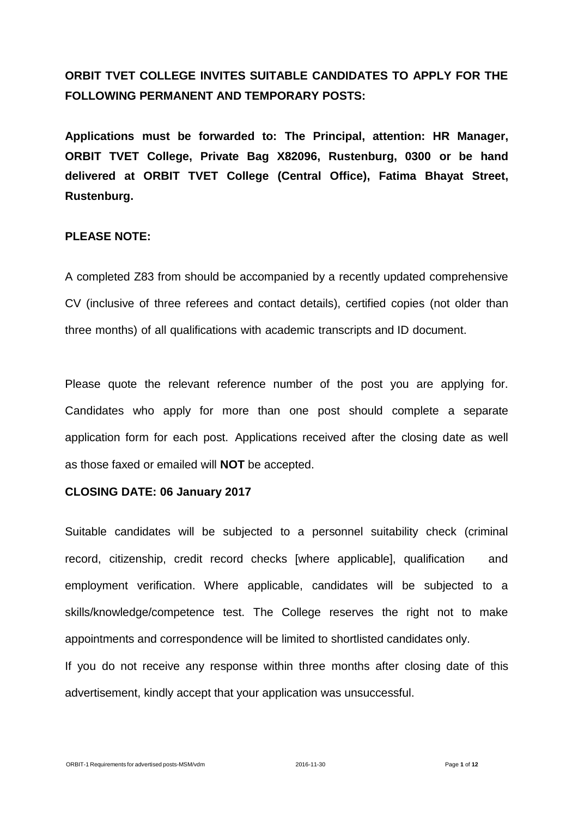# **ORBIT TVET COLLEGE INVITES SUITABLE CANDIDATES TO APPLY FOR THE FOLLOWING PERMANENT AND TEMPORARY POSTS:**

**Applications must be forwarded to: The Principal, attention: HR Manager, ORBIT TVET College, Private Bag X82096, Rustenburg, 0300 or be hand delivered at ORBIT TVET College (Central Office), Fatima Bhayat Street, Rustenburg.**

#### **PLEASE NOTE:**

A completed Z83 from should be accompanied by a recently updated comprehensive CV (inclusive of three referees and contact details), certified copies (not older than three months) of all qualifications with academic transcripts and ID document.

Please quote the relevant reference number of the post you are applying for. Candidates who apply for more than one post should complete a separate application form for each post. Applications received after the closing date as well as those faxed or emailed will **NOT** be accepted.

#### **CLOSING DATE: 06 January 2017**

Suitable candidates will be subjected to a personnel suitability check (criminal record, citizenship, credit record checks [where applicable], qualification and employment verification. Where applicable, candidates will be subjected to a skills/knowledge/competence test. The College reserves the right not to make appointments and correspondence will be limited to shortlisted candidates only.

If you do not receive any response within three months after closing date of this advertisement, kindly accept that your application was unsuccessful.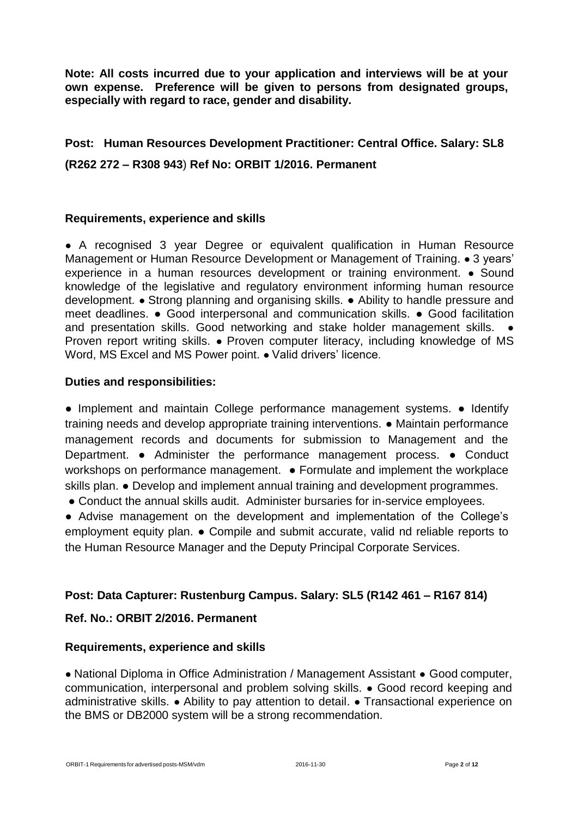**Note: All costs incurred due to your application and interviews will be at your own expense. Preference will be given to persons from designated groups, especially with regard to race, gender and disability.**

# **Post: Human Resources Development Practitioner: Central Office. Salary: SL8 (R262 272 – R308 943**) **Ref No: ORBIT 1/2016. Permanent**

## **Requirements, experience and skills**

● A recognised 3 year Degree or equivalent qualification in Human Resource Management or Human Resource Development or Management of Training. ● 3 years' experience in a human resources development or training environment. ● Sound knowledge of the legislative and regulatory environment informing human resource development. ● Strong planning and organising skills. ● Ability to handle pressure and meet deadlines. ● Good interpersonal and communication skills. ● Good facilitation and presentation skills. Good networking and stake holder management skills. Proven report writing skills. ● Proven computer literacy, including knowledge of MS Word, MS Excel and MS Power point. • Valid drivers' licence.

## **Duties and responsibilities:**

• Implement and maintain College performance management systems. • Identify training needs and develop appropriate training interventions. ● Maintain performance management records and documents for submission to Management and the Department. ● Administer the performance management process. ● Conduct workshops on performance management. • Formulate and implement the workplace skills plan. • Develop and implement annual training and development programmes.

● Conduct the annual skills audit. Administer bursaries for in-service employees.

● Advise management on the development and implementation of the College's employment equity plan. ● Compile and submit accurate, valid nd reliable reports to the Human Resource Manager and the Deputy Principal Corporate Services.

# **Post: Data Capturer: Rustenburg Campus. Salary: SL5 (R142 461 – R167 814)**

# **Ref. No.: ORBIT 2/2016. Permanent**

#### **Requirements, experience and skills**

● National Diploma in Office Administration / Management Assistant ● Good computer, communication, interpersonal and problem solving skills. ● Good record keeping and administrative skills. ● Ability to pay attention to detail. ● Transactional experience on the BMS or DB2000 system will be a strong recommendation.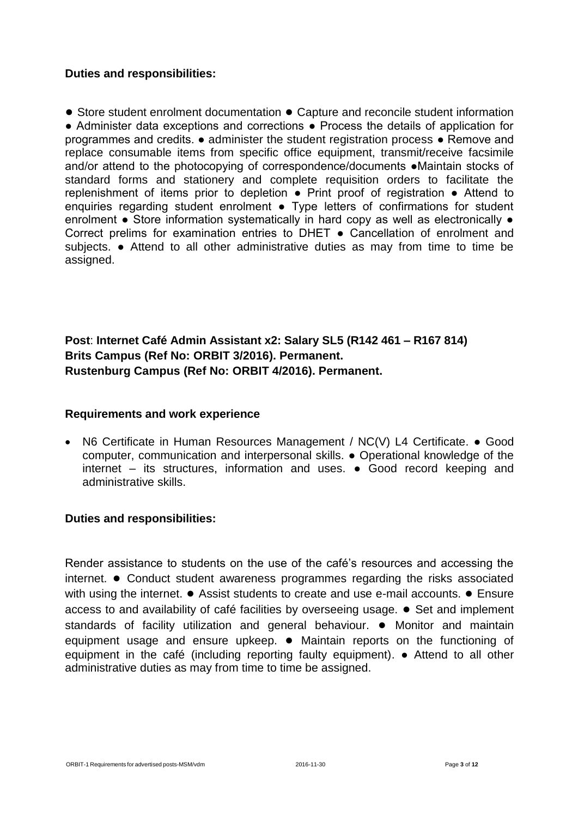#### **Duties and responsibilities:**

● Store student enrolment documentation ● Capture and reconcile student information ● Administer data exceptions and corrections ● Process the details of application for programmes and credits. ● administer the student registration process ● Remove and replace consumable items from specific office equipment, transmit/receive facsimile and/or attend to the photocopying of correspondence/documents ●Maintain stocks of standard forms and stationery and complete requisition orders to facilitate the replenishment of items prior to depletion ● Print proof of registration ● Attend to enquiries regarding student enrolment • Type letters of confirmations for student enrolment • Store information systematically in hard copy as well as electronically • Correct prelims for examination entries to DHET ● Cancellation of enrolment and subjects. **●** Attend to all other administrative duties as may from time to time be assigned.

# **Post**: **Internet Café Admin Assistant x2: Salary SL5 (R142 461 – R167 814) Brits Campus (Ref No: ORBIT 3/2016). Permanent. Rustenburg Campus (Ref No: ORBIT 4/2016). Permanent.**

#### **Requirements and work experience**

 N6 Certificate in Human Resources Management / NC(V) L4 Certificate. ● Good computer, communication and interpersonal skills. ● Operational knowledge of the internet – its structures, information and uses. ● Good record keeping and administrative skills.

#### **Duties and responsibilities:**

Render assistance to students on the use of the café's resources and accessing the internet. ● Conduct student awareness programmes regarding the risks associated with using the internet.  $\bullet$  Assist students to create and use e-mail accounts.  $\bullet$  Ensure access to and availability of café facilities by overseeing usage. ● Set and implement standards of facility utilization and general behaviour. ● Monitor and maintain equipment usage and ensure upkeep. ● Maintain reports on the functioning of equipment in the café (including reporting faulty equipment). **●** Attend to all other administrative duties as may from time to time be assigned.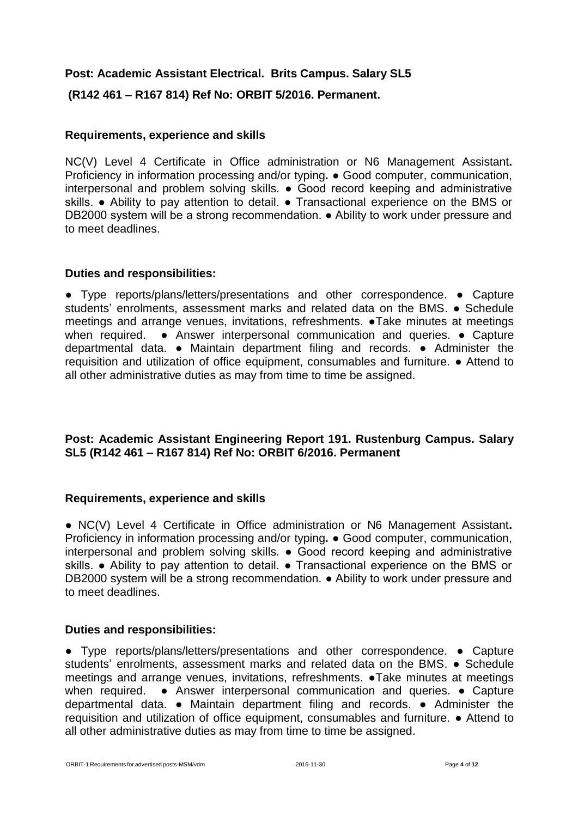## **Post: Academic Assistant Electrical. Brits Campus. Salary SL5**

**(R142 461 – R167 814) Ref No: ORBIT 5/2016. Permanent.**

### **Requirements, experience and skills**

NC(V) Level 4 Certificate in Office administration or N6 Management Assistant**.**  Proficiency in information processing and/or typing**.** ● Good computer, communication, interpersonal and problem solving skills. ● Good record keeping and administrative skills. ● Ability to pay attention to detail. ● Transactional experience on the BMS or DB2000 system will be a strong recommendation. ● Ability to work under pressure and to meet deadlines.

#### **Duties and responsibilities:**

**●** Type reports/plans/letters/presentations and other correspondence. **●** Capture students' enrolments, assessment marks and related data on the BMS. **●** Schedule meetings and arrange venues, invitations, refreshments. **●**Take minutes at meetings when required. **●** Answer interpersonal communication and queries. **●** Capture departmental data. **●** Maintain department filing and records. **●** Administer the requisition and utilization of office equipment, consumables and furniture. **●** Attend to all other administrative duties as may from time to time be assigned.

## **Post: Academic Assistant Engineering Report 191. Rustenburg Campus. Salary SL5 (R142 461 – R167 814) Ref No: ORBIT 6/2016. Permanent**

#### **Requirements, experience and skills**

● NC(V) Level 4 Certificate in Office administration or N6 Management Assistant**.**  Proficiency in information processing and/or typing**.** ● Good computer, communication, interpersonal and problem solving skills. ● Good record keeping and administrative skills. • Ability to pay attention to detail. • Transactional experience on the BMS or DB2000 system will be a strong recommendation. ● Ability to work under pressure and to meet deadlines.

#### **Duties and responsibilities:**

**●** Type reports/plans/letters/presentations and other correspondence. **●** Capture students' enrolments, assessment marks and related data on the BMS. **●** Schedule meetings and arrange venues, invitations, refreshments. **●**Take minutes at meetings when required. **●** Answer interpersonal communication and queries. **●** Capture departmental data. **●** Maintain department filing and records. **●** Administer the requisition and utilization of office equipment, consumables and furniture. **●** Attend to all other administrative duties as may from time to time be assigned.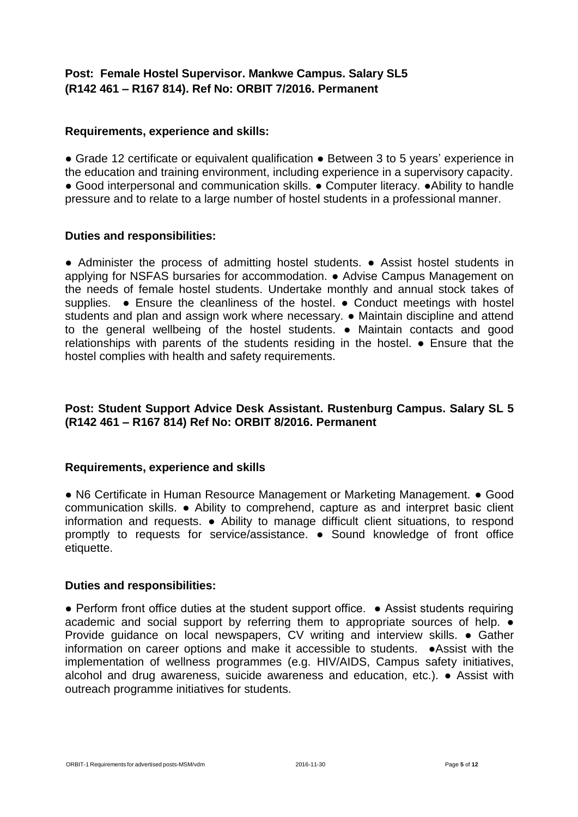# **Post: Female Hostel Supervisor. Mankwe Campus. Salary SL5 (R142 461 – R167 814). Ref No: ORBIT 7/2016. Permanent**

#### **Requirements, experience and skills:**

● Grade 12 certificate or equivalent qualification ● Between 3 to 5 years' experience in the education and training environment, including experience in a supervisory capacity. ● Good interpersonal and communication skills. ● Computer literacy. ●Ability to handle pressure and to relate to a large number of hostel students in a professional manner.

#### **Duties and responsibilities:**

● Administer the process of admitting hostel students. ● Assist hostel students in applying for NSFAS bursaries for accommodation. ● Advise Campus Management on the needs of female hostel students. Undertake monthly and annual stock takes of supplies. • Ensure the cleanliness of the hostel. • Conduct meetings with hostel students and plan and assign work where necessary. • Maintain discipline and attend to the general wellbeing of the hostel students. ● Maintain contacts and good relationships with parents of the students residing in the hostel. ● Ensure that the hostel complies with health and safety requirements.

#### **Post: Student Support Advice Desk Assistant. Rustenburg Campus. Salary SL 5 (R142 461 – R167 814) Ref No: ORBIT 8/2016. Permanent**

#### **Requirements, experience and skills**

● N6 Certificate in Human Resource Management or Marketing Management. ● Good communication skills. ● Ability to comprehend, capture as and interpret basic client information and requests. ● Ability to manage difficult client situations, to respond promptly to requests for service/assistance. ● Sound knowledge of front office etiquette.

#### **Duties and responsibilities:**

• Perform front office duties at the student support office. • Assist students requiring academic and social support by referring them to appropriate sources of help. ● Provide guidance on local newspapers, CV writing and interview skills. ● Gather information on career options and make it accessible to students. ●Assist with the implementation of wellness programmes (e.g. HIV/AIDS, Campus safety initiatives, alcohol and drug awareness, suicide awareness and education, etc.). ● Assist with outreach programme initiatives for students.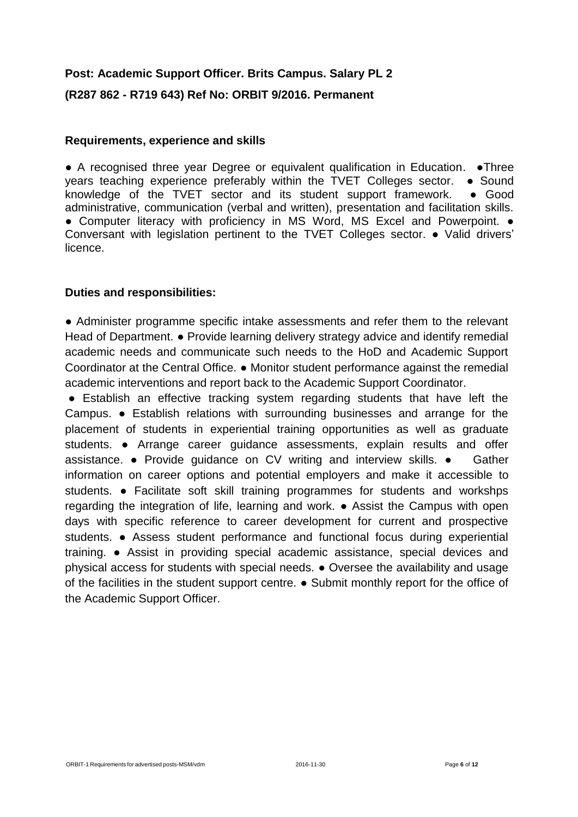# **Post: Academic Support Officer. Brits Campus. Salary PL 2 (R287 862 - R719 643) Ref No: ORBIT 9/2016. Permanent**

#### **Requirements, experience and skills**

● A recognised three year Degree or equivalent qualification in Education. ●Three years teaching experience preferably within the TVET Colleges sector. • Sound knowledge of the TVET sector and its student support framework.  $\bullet$  Good administrative, communication (verbal and written), presentation and facilitation skills. ● Computer literacy with proficiency in MS Word, MS Excel and Powerpoint. ● Conversant with legislation pertinent to the TVET Colleges sector. ● Valid drivers' licence.

#### **Duties and responsibilities:**

● Administer programme specific intake assessments and refer them to the relevant Head of Department. • Provide learning delivery strategy advice and identify remedial academic needs and communicate such needs to the HoD and Academic Support Coordinator at the Central Office. ● Monitor student performance against the remedial academic interventions and report back to the Academic Support Coordinator.

● Establish an effective tracking system regarding students that have left the Campus. ● Establish relations with surrounding businesses and arrange for the placement of students in experiential training opportunities as well as graduate students. ● Arrange career guidance assessments, explain results and offer assistance. ● Provide guidance on CV writing and interview skills. ● Gather information on career options and potential employers and make it accessible to students. • Facilitate soft skill training programmes for students and workshps regarding the integration of life, learning and work. ● Assist the Campus with open days with specific reference to career development for current and prospective students. ● Assess student performance and functional focus during experiential training. ● Assist in providing special academic assistance, special devices and physical access for students with special needs. ● Oversee the availability and usage of the facilities in the student support centre. ● Submit monthly report for the office of the Academic Support Officer.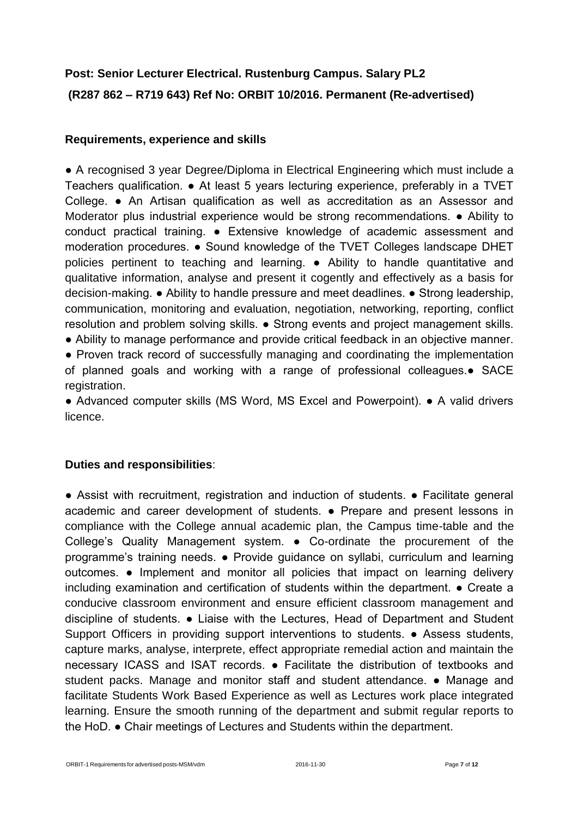# **Post: Senior Lecturer Electrical. Rustenburg Campus. Salary PL2 (R287 862 – R719 643) Ref No: ORBIT 10/2016. Permanent (Re-advertised)**

## **Requirements, experience and skills**

● A recognised 3 year Degree/Diploma in Electrical Engineering which must include a Teachers qualification. ● At least 5 years lecturing experience, preferably in a TVET College. ● An Artisan qualification as well as accreditation as an Assessor and Moderator plus industrial experience would be strong recommendations. ● Ability to conduct practical training. ● Extensive knowledge of academic assessment and moderation procedures. ● Sound knowledge of the TVET Colleges landscape DHET policies pertinent to teaching and learning. ● Ability to handle quantitative and qualitative information, analyse and present it cogently and effectively as a basis for decision-making. ● Ability to handle pressure and meet deadlines. ● Strong leadership, communication, monitoring and evaluation, negotiation, networking, reporting, conflict resolution and problem solving skills. ● Strong events and project management skills. ● Ability to manage performance and provide critical feedback in an objective manner. • Proven track record of successfully managing and coordinating the implementation

of planned goals and working with a range of professional colleagues.● SACE registration.

● Advanced computer skills (MS Word, MS Excel and Powerpoint). ● A valid drivers licence.

#### **Duties and responsibilities**:

● Assist with recruitment, registration and induction of students. ● Facilitate general academic and career development of students. ● Prepare and present lessons in compliance with the College annual academic plan, the Campus time-table and the College's Quality Management system. ● Co-ordinate the procurement of the programme's training needs. ● Provide guidance on syllabi, curriculum and learning outcomes. ● Implement and monitor all policies that impact on learning delivery including examination and certification of students within the department. ● Create a conducive classroom environment and ensure efficient classroom management and discipline of students. ● Liaise with the Lectures, Head of Department and Student Support Officers in providing support interventions to students. ● Assess students, capture marks, analyse, interprete, effect appropriate remedial action and maintain the necessary ICASS and ISAT records. ● Facilitate the distribution of textbooks and student packs. Manage and monitor staff and student attendance. • Manage and facilitate Students Work Based Experience as well as Lectures work place integrated learning. Ensure the smooth running of the department and submit regular reports to the HoD. ● Chair meetings of Lectures and Students within the department.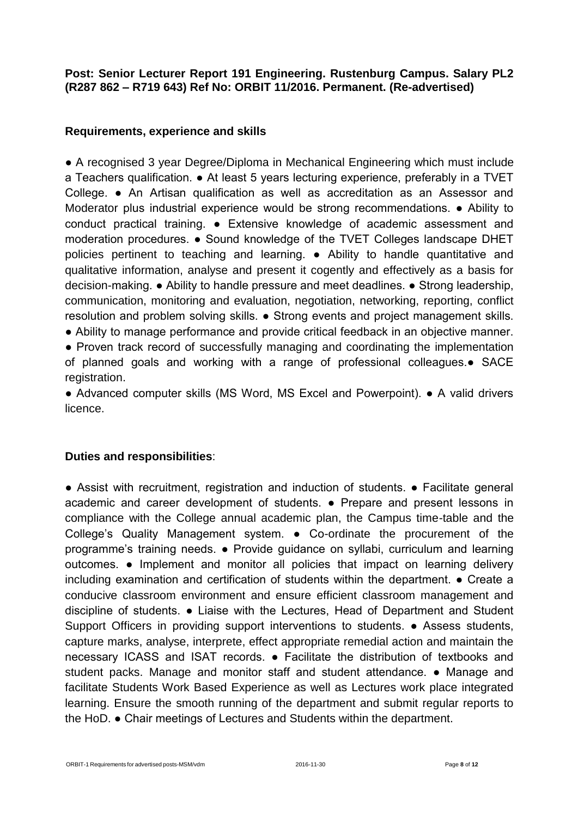### **Post: Senior Lecturer Report 191 Engineering. Rustenburg Campus. Salary PL2 (R287 862 – R719 643) Ref No: ORBIT 11/2016. Permanent. (Re-advertised)**

### **Requirements, experience and skills**

● A recognised 3 year Degree/Diploma in Mechanical Engineering which must include a Teachers qualification. ● At least 5 years lecturing experience, preferably in a TVET College. ● An Artisan qualification as well as accreditation as an Assessor and Moderator plus industrial experience would be strong recommendations. ● Ability to conduct practical training. ● Extensive knowledge of academic assessment and moderation procedures. ● Sound knowledge of the TVET Colleges landscape DHET policies pertinent to teaching and learning. ● Ability to handle quantitative and qualitative information, analyse and present it cogently and effectively as a basis for decision-making. ● Ability to handle pressure and meet deadlines. ● Strong leadership, communication, monitoring and evaluation, negotiation, networking, reporting, conflict resolution and problem solving skills. ● Strong events and project management skills.

● Ability to manage performance and provide critical feedback in an objective manner.

• Proven track record of successfully managing and coordinating the implementation of planned goals and working with a range of professional colleagues.● SACE registration.

● Advanced computer skills (MS Word, MS Excel and Powerpoint). ● A valid drivers licence.

#### **Duties and responsibilities**:

● Assist with recruitment, registration and induction of students. ● Facilitate general academic and career development of students. ● Prepare and present lessons in compliance with the College annual academic plan, the Campus time-table and the College's Quality Management system. ● Co-ordinate the procurement of the programme's training needs. ● Provide guidance on syllabi, curriculum and learning outcomes. ● Implement and monitor all policies that impact on learning delivery including examination and certification of students within the department. ● Create a conducive classroom environment and ensure efficient classroom management and discipline of students. ● Liaise with the Lectures, Head of Department and Student Support Officers in providing support interventions to students. ● Assess students, capture marks, analyse, interprete, effect appropriate remedial action and maintain the necessary ICASS and ISAT records. ● Facilitate the distribution of textbooks and student packs. Manage and monitor staff and student attendance. • Manage and facilitate Students Work Based Experience as well as Lectures work place integrated learning. Ensure the smooth running of the department and submit regular reports to the HoD. ● Chair meetings of Lectures and Students within the department.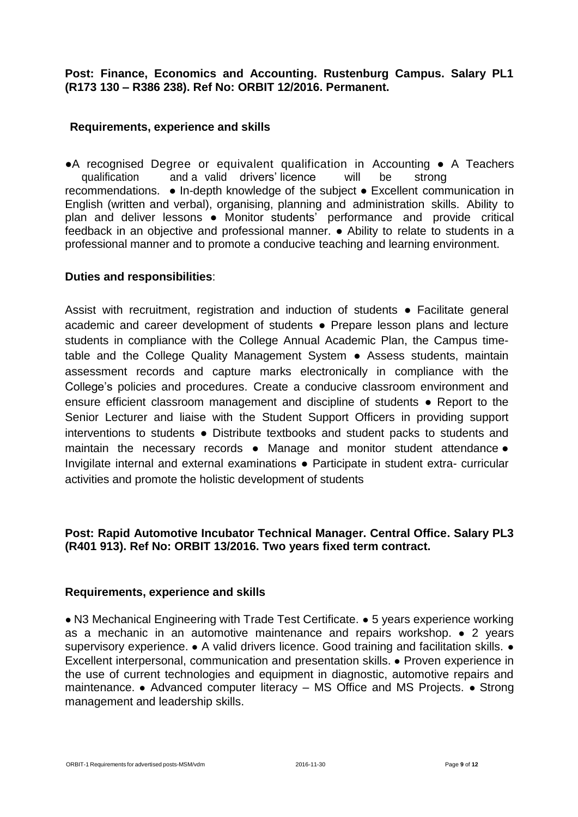#### **Post: Finance, Economics and Accounting. Rustenburg Campus. Salary PL1 (R173 130 – R386 238). Ref No: ORBIT 12/2016. Permanent.**

#### **Requirements, experience and skills**

●A recognised Degree or equivalent qualification in Accounting ● A Teachers qualification and a valid drivers' licence will be strong recommendations. ● In-depth knowledge of the subject ● Excellent communication in English (written and verbal), organising, planning and administration skills. Ability to plan and deliver lessons • Monitor students' performance and provide critical feedback in an objective and professional manner. ● Ability to relate to students in a professional manner and to promote a conducive teaching and learning environment.

#### **Duties and responsibilities**:

Assist with recruitment, registration and induction of students ● Facilitate general academic and career development of students ● Prepare lesson plans and lecture students in compliance with the College Annual Academic Plan, the Campus timetable and the College Quality Management System ● Assess students, maintain assessment records and capture marks electronically in compliance with the College's policies and procedures. Create a conducive classroom environment and ensure efficient classroom management and discipline of students ● Report to the Senior Lecturer and liaise with the Student Support Officers in providing support interventions to students ● Distribute textbooks and student packs to students and maintain the necessary records ● Manage and monitor student attendance ● Invigilate internal and external examinations • Participate in student extra- curricular activities and promote the holistic development of students

#### **Post: Rapid Automotive Incubator Technical Manager. Central Office. Salary PL3 (R401 913). Ref No: ORBIT 13/2016. Two years fixed term contract.**

#### **Requirements, experience and skills**

● N3 Mechanical Engineering with Trade Test Certificate. ● 5 years experience working as a mechanic in an automotive maintenance and repairs workshop. ● 2 years supervisory experience. • A valid drivers licence. Good training and facilitation skills. • Excellent interpersonal, communication and presentation skills. ● Proven experience in the use of current technologies and equipment in diagnostic, automotive repairs and maintenance. ● Advanced computer literacy – MS Office and MS Projects. ● Strong management and leadership skills.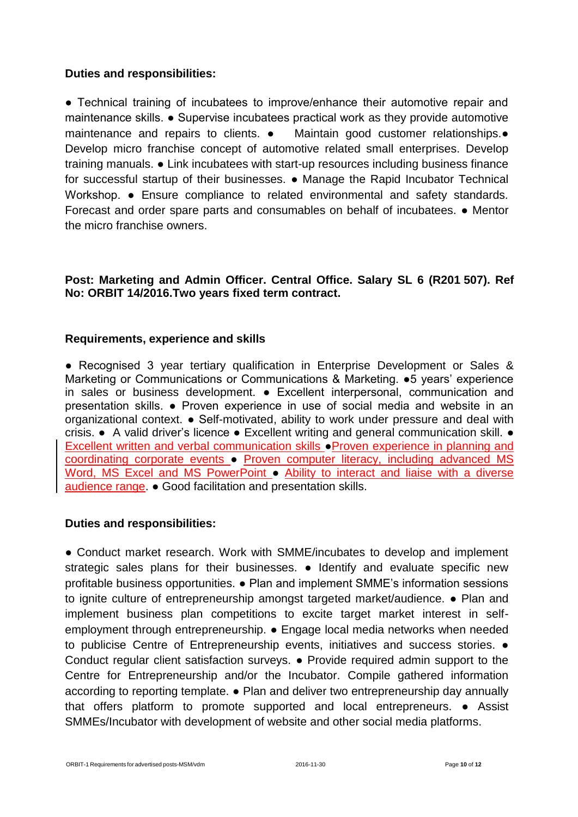#### **Duties and responsibilities:**

● Technical training of incubatees to improve/enhance their automotive repair and maintenance skills. ● Supervise incubatees practical work as they provide automotive maintenance and repairs to clients. ● Maintain good customer relationships.● Develop micro franchise concept of automotive related small enterprises. Develop training manuals. ● Link incubatees with start-up resources including business finance for successful startup of their businesses. ● Manage the Rapid Incubator Technical Workshop. • Ensure compliance to related environmental and safety standards. Forecast and order spare parts and consumables on behalf of incubatees. ● Mentor the micro franchise owners.

### **Post: Marketing and Admin Officer. Central Office. Salary SL 6 (R201 507). Ref No: ORBIT 14/2016.Two years fixed term contract.**

#### **Requirements, experience and skills**

● Recognised 3 year tertiary qualification in Enterprise Development or Sales & Marketing or Communications or Communications & Marketing. ●5 years' experience in sales or business development. ● Excellent interpersonal, communication and presentation skills. ● Proven experience in use of social media and website in an organizational context. ● Self-motivated, ability to work under pressure and deal with crisis. ● A valid driver's licence ● Excellent writing and general communication skill. ● Excellent written and verbal communication skills ●Proven experience in planning and coordinating corporate events ● Proven computer literacy, including advanced MS Word, MS Excel and MS PowerPoint • Ability to interact and liaise with a diverse audience range. ● Good facilitation and presentation skills.

#### **Duties and responsibilities:**

● Conduct market research. Work with SMME/incubates to develop and implement strategic sales plans for their businesses. • Identify and evaluate specific new profitable business opportunities. ● Plan and implement SMME's information sessions to ignite culture of entrepreneurship amongst targeted market/audience. ● Plan and implement business plan competitions to excite target market interest in selfemployment through entrepreneurship. ● Engage local media networks when needed to publicise Centre of Entrepreneurship events, initiatives and success stories. ● Conduct regular client satisfaction surveys. ● Provide required admin support to the Centre for Entrepreneurship and/or the Incubator. Compile gathered information according to reporting template. ● Plan and deliver two entrepreneurship day annually that offers platform to promote supported and local entrepreneurs. ● Assist SMMEs/Incubator with development of website and other social media platforms.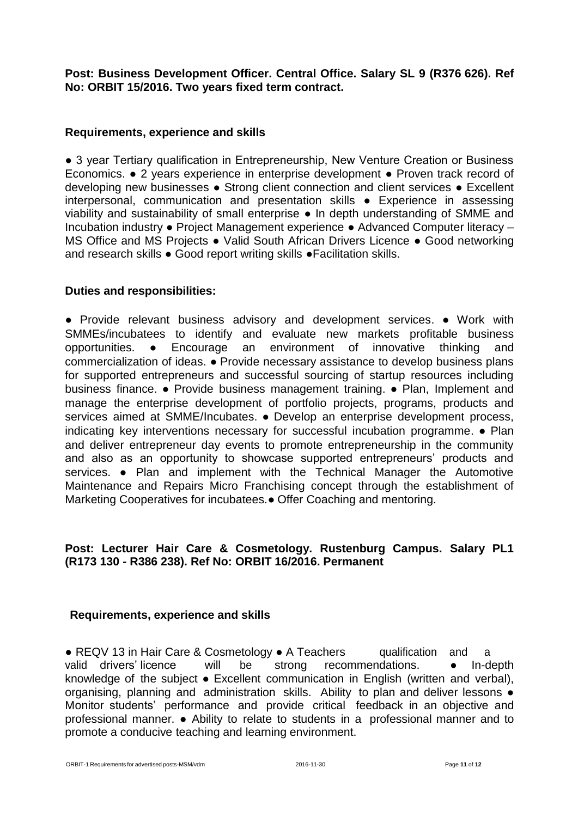**Post: Business Development Officer. Central Office. Salary SL 9 (R376 626). Ref No: ORBIT 15/2016. Two years fixed term contract.**

#### **Requirements, experience and skills**

• 3 year Tertiary qualification in Entrepreneurship, New Venture Creation or Business Economics. ● 2 years experience in enterprise development ● Proven track record of developing new businesses ● Strong client connection and client services ● Excellent interpersonal, communication and presentation skills ● Experience in assessing viability and sustainability of small enterprise ● In depth understanding of SMME and Incubation industry ● Project Management experience ● Advanced Computer literacy – MS Office and MS Projects ● Valid South African Drivers Licence ● Good networking and research skills ● Good report writing skills ●Facilitation skills.

#### **Duties and responsibilities:**

● Provide relevant business advisory and development services. ● Work with SMMEs/incubatees to identify and evaluate new markets profitable business opportunities. ● Encourage an environment of innovative thinking and commercialization of ideas. ● Provide necessary assistance to develop business plans for supported entrepreneurs and successful sourcing of startup resources including business finance. ● Provide business management training. ● Plan, Implement and manage the enterprise development of portfolio projects, programs, products and services aimed at SMME/Incubates. • Develop an enterprise development process, indicating key interventions necessary for successful incubation programme. ● Plan and deliver entrepreneur day events to promote entrepreneurship in the community and also as an opportunity to showcase supported entrepreneurs' products and services. • Plan and implement with the Technical Manager the Automotive Maintenance and Repairs Micro Franchising concept through the establishment of Marketing Cooperatives for incubatees.● Offer Coaching and mentoring.

## **Post: Lecturer Hair Care & Cosmetology. Rustenburg Campus. Salary PL1 (R173 130 - R386 238). Ref No: ORBIT 16/2016. Permanent**

#### **Requirements, experience and skills**

● REQV 13 in Hair Care & Cosmetology ● A Teachers qualification and a valid drivers' licence will be strong recommendations.  $\bullet$  In-depth knowledge of the subject ● Excellent communication in English (written and verbal), organising, planning and administration skills. Ability to plan and deliver lessons  $\bullet$ Monitor students' performance and provide critical feedback in an objective and professional manner. ● Ability to relate to students in a professional manner and to promote a conducive teaching and learning environment.